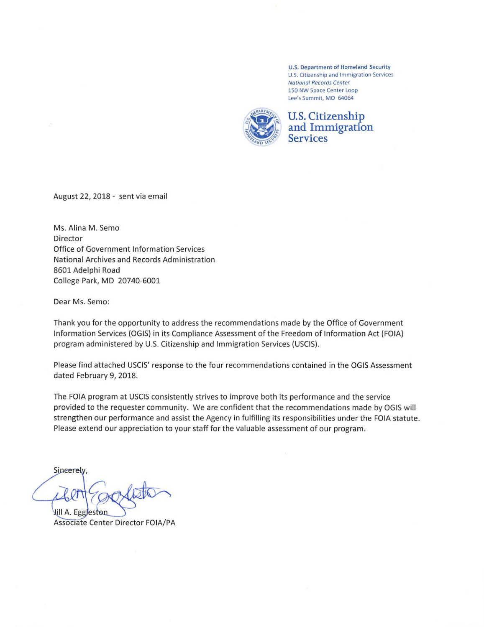U.S. Department of Homeland Security U.S. Citizenship and Immigration Services National Records Center 150 NW Space Center Loop Lee's Summit, MO 64064



## **U.S. Citizenship and Immigration Services**

August 22, 2018 - sent via email

Ms. Alina M. Semo Director Office of Government Information Services National Archives and Records Administration 8601 Adelphi Road College Park, MD 20740-6001

Dear Ms. Semo:

Thank you for the opportunity to address the recommendations made by the Office of Government Information Services (OGIS) in its Compliance Assessment of the Freedom of Information Act (FOIA) program administered by U.S. Citizenship and Immigration Services (USCIS).

Please find attached USCIS' response to the four recommendations contained in the OGIS Assessment dated February 9, 2018.

The FOIA program at USCIS consistently strives to improve both its performance and the service provided to the requester community. We are confident that the recommendations made by OGIS will strengthen our performance and assist the Agency in fulfilling its responsibilities under the FOIA statute. Please extend our appreciation to your staff for the valuable assessment of our program.

Sincerely,

Jill A. Eggleston Associate Center Director FOIA/PA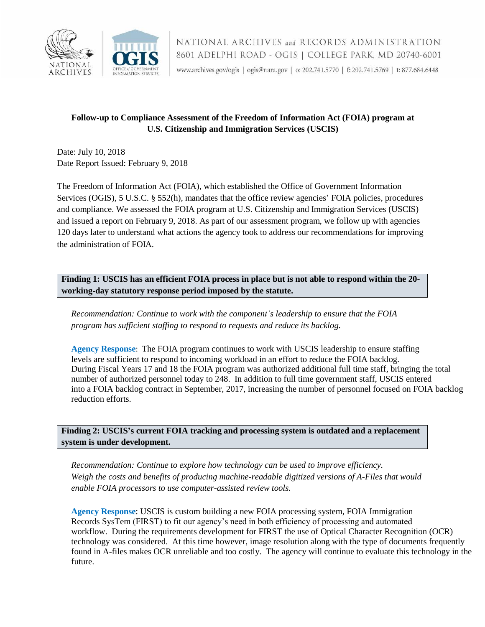

## **Follow-up to Compliance Assessment of the Freedom of Information Act (FOIA) program at U.S. Citizenship and Immigration Services (USCIS)**

 Date: July 10, 2018 Date Report Issued: February 9, 2018

 The Freedom of Information Act (FOIA), which established the Office of Government Information Services (OGIS), 5 U.S.C. § 552(h), mandates that the office review agencies' FOIA policies, procedures and compliance. We assessed the FOIA program at U.S. Citizenship and Immigration Services (USCIS) and issued a report on February 9, 2018. As part of our assessment program, we follow up with agencies 120 days later to understand what actions the agency took to address our recommendations for improving the administration of FOIA.

 **Finding 1: USCIS has an efficient FOIA process in place but is not able to respond within the 20- working-day statutory response period imposed by the statute.** 

 *Recommendation: Continue to work with the component's leadership to ensure that the FOIA program has sufficient staffing to respond to requests and reduce its backlog.* 

 **Agency Response**: The FOIA program continues to work with USCIS leadership to ensure staffing number of authorized personnel today to 248. In addition to full time government staff, USCIS entered levels are sufficient to respond to incoming workload in an effort to reduce the FOIA backlog. During Fiscal Years 17 and 18 the FOIA program was authorized additional full time staff, bringing the total into a FOIA backlog contract in September, 2017, increasing the number of personnel focused on FOIA backlog reduction efforts.

 **Finding 2: USCIS's current FOIA tracking and processing system is outdated and a replacement system is under development.** 

Continue to explore how technology can be used to improve efficiency. Recommendation: Continue to explore how technology can be used to improve efficiency.<br>Weigh the costs and benefits of producing machine-readable digitized versions of A-Files that would  *enable FOIA processors to use computer-assisted review tools.*

 workflow. During the requirements development for FIRST the use of Optical Character Recognition (OCR) technology was considered. At this time however, image resolution along with the type of documents frequently **Agency Response**: USCIS is custom building a new FOIA processing system, FOIA Immigration Records SysTem (FIRST) to fit our agency's need in both efficiency of processing and automated found in A-files makes OCR unreliable and too costly. The agency will continue to evaluate this technology in the future.